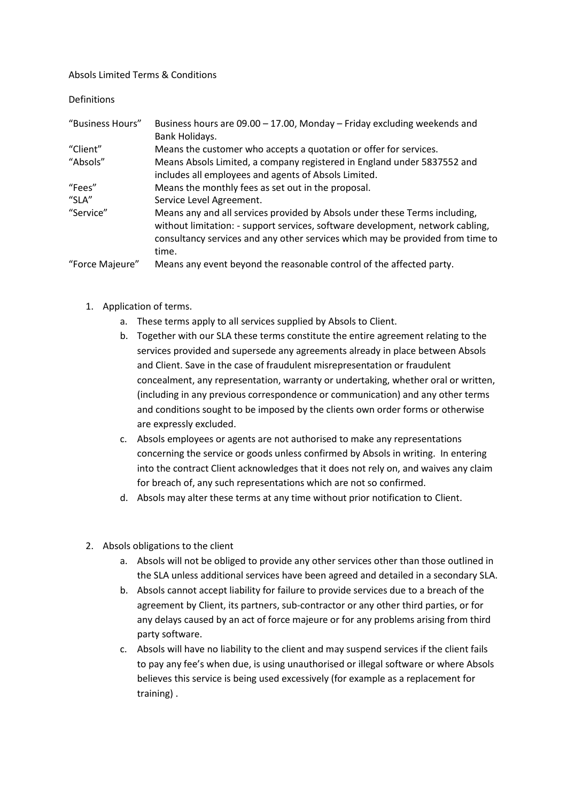Absols Limited Terms & Conditions

Definitions

| "Business Hours" | Business hours are $09.00 - 17.00$ , Monday – Friday excluding weekends and                                                                                                                                                                             |
|------------------|---------------------------------------------------------------------------------------------------------------------------------------------------------------------------------------------------------------------------------------------------------|
|                  | Bank Holidays.                                                                                                                                                                                                                                          |
| "Client"         | Means the customer who accepts a quotation or offer for services.                                                                                                                                                                                       |
| "Absols"         | Means Absols Limited, a company registered in England under 5837552 and                                                                                                                                                                                 |
|                  | includes all employees and agents of Absols Limited.                                                                                                                                                                                                    |
| "Fees"           | Means the monthly fees as set out in the proposal.                                                                                                                                                                                                      |
| "SLA"            | Service Level Agreement.                                                                                                                                                                                                                                |
| "Service"        | Means any and all services provided by Absols under these Terms including,<br>without limitation: - support services, software development, network cabling,<br>consultancy services and any other services which may be provided from time to<br>time. |
| "Force Majeure"  | Means any event beyond the reasonable control of the affected party.                                                                                                                                                                                    |

- 1. Application of terms.
	- a. These terms apply to all services supplied by Absols to Client.
	- b. Together with our SLA these terms constitute the entire agreement relating to the services provided and supersede any agreements already in place between Absols and Client. Save in the case of fraudulent misrepresentation or fraudulent concealment, any representation, warranty or undertaking, whether oral or written, (including in any previous correspondence or communication) and any other terms and conditions sought to be imposed by the clients own order forms or otherwise are expressly excluded.
	- c. Absols employees or agents are not authorised to make any representations concerning the service or goods unless confirmed by Absols in writing. In entering into the contract Client acknowledges that it does not rely on, and waives any claim for breach of, any such representations which are not so confirmed.
	- d. Absols may alter these terms at any time without prior notification to Client.
- 2. Absols obligations to the client
	- a. Absols will not be obliged to provide any other services other than those outlined in the SLA unless additional services have been agreed and detailed in a secondary SLA.
	- b. Absols cannot accept liability for failure to provide services due to a breach of the agreement by Client, its partners, sub-contractor or any other third parties, or for any delays caused by an act of force majeure or for any problems arising from third party software.
	- c. Absols will have no liability to the client and may suspend services if the client fails to pay any fee's when due, is using unauthorised or illegal software or where Absols believes this service is being used excessively (for example as a replacement for training) .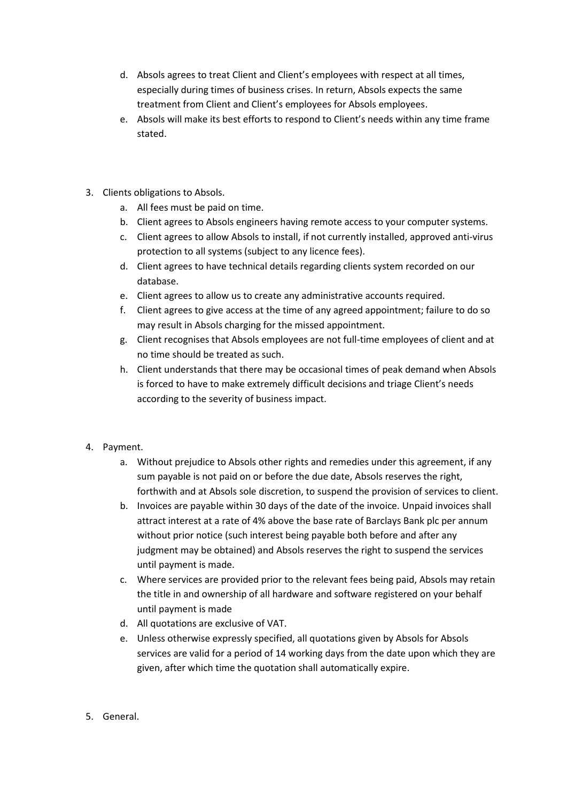- d. Absols agrees to treat Client and Client's employees with respect at all times, especially during times of business crises. In return, Absols expects the same treatment from Client and Client's employees for Absols employees.
- e. Absols will make its best efforts to respond to Client's needs within any time frame stated.
- 3. Clients obligations to Absols.
	- a. All fees must be paid on time.
	- b. Client agrees to Absols engineers having remote access to your computer systems.
	- c. Client agrees to allow Absols to install, if not currently installed, approved anti-virus protection to all systems (subject to any licence fees).
	- d. Client agrees to have technical details regarding clients system recorded on our database.
	- e. Client agrees to allow us to create any administrative accounts required.
	- f. Client agrees to give access at the time of any agreed appointment; failure to do so may result in Absols charging for the missed appointment.
	- g. Client recognises that Absols employees are not full-time employees of client and at no time should be treated as such.
	- h. Client understands that there may be occasional times of peak demand when Absols is forced to have to make extremely difficult decisions and triage Client's needs according to the severity of business impact.
- 4. Payment.
	- a. Without prejudice to Absols other rights and remedies under this agreement, if any sum payable is not paid on or before the due date, Absols reserves the right, forthwith and at Absols sole discretion, to suspend the provision of services to client.
	- b. Invoices are payable within 30 days of the date of the invoice. Unpaid invoices shall attract interest at a rate of 4% above the base rate of Barclays Bank plc per annum without prior notice (such interest being payable both before and after any judgment may be obtained) and Absols reserves the right to suspend the services until payment is made.
	- c. Where services are provided prior to the relevant fees being paid, Absols may retain the title in and ownership of all hardware and software registered on your behalf until payment is made
	- d. All quotations are exclusive of VAT.
	- e. Unless otherwise expressly specified, all quotations given by Absols for Absols services are valid for a period of 14 working days from the date upon which they are given, after which time the quotation shall automatically expire.
- 5. General.